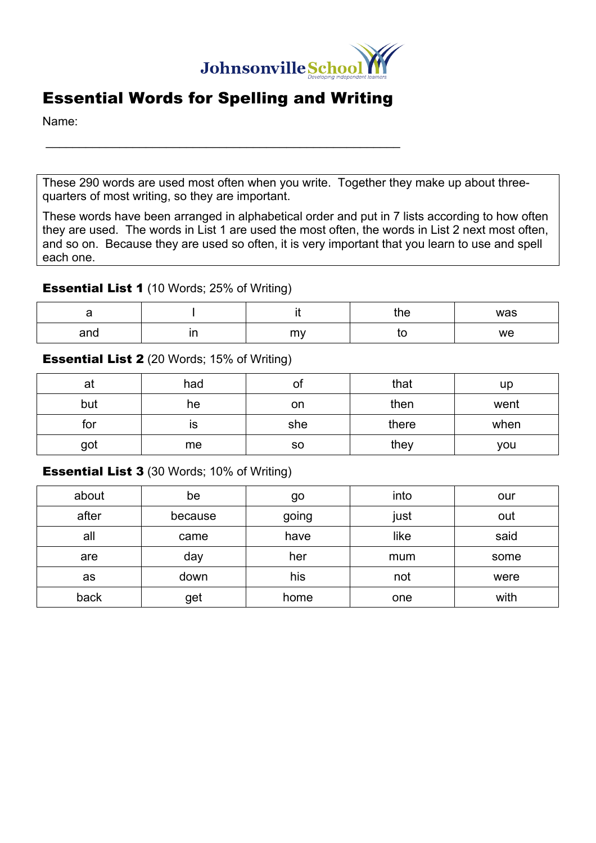

## Essential Words for Spelling and Writing

 $\mathcal{L}_\text{max}$  and  $\mathcal{L}_\text{max}$  and  $\mathcal{L}_\text{max}$  and  $\mathcal{L}_\text{max}$  and  $\mathcal{L}_\text{max}$ 

Name:

These 290 words are used most often when you write. Together they make up about threequarters of most writing, so they are important.

These words have been arranged in alphabetical order and put in 7 lists according to how often they are used. The words in List 1 are used the most often, the words in List 2 next most often, and so on. Because they are used so often, it is very important that you learn to use and spell each one.

#### **Essential List 1** (10 Words; 25% of Writing)

| -   |        | the | was |
|-----|--------|-----|-----|
| and | <br>my | เบ  | we  |

#### **Essential List 2** (20 Words; 15% of Writing)

| at  | had | ΟI        | that  | up   |
|-----|-----|-----------|-------|------|
| but | he  | on        | then  | went |
| for | ıs  | she       | there | when |
| got | me  | <b>SO</b> | they  | you  |

**Essential List 3** (30 Words; 10% of Writing)

| about | be      | go    | into | our  |
|-------|---------|-------|------|------|
| after | because | going | just | out  |
| all   | came    | have  | like | said |
| are   | day     | her   | mum  | some |
| as    | down    | his   | not  | were |
| back  | get     | home  | one  | with |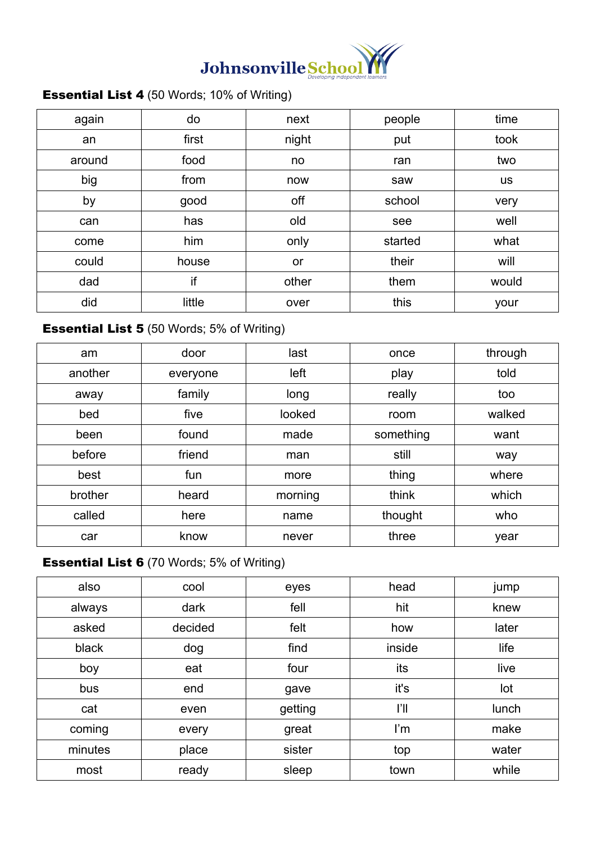

## **Essential List 4** (50 Words; 10% of Writing)

| again  | do     | next  | people  | time      |
|--------|--------|-------|---------|-----------|
| an     | first  | night | put     | took      |
| around | food   | no    | ran     | two       |
| big    | from   | now   | saw     | <b>US</b> |
| by     | good   | off   | school  | very      |
| can    | has    | old   | see     | well      |
| come   | him    | only  | started | what      |
| could  | house  | or    | their   | will      |
| dad    | if     | other | them    | would     |
| did    | little | over  | this    | your      |

## **Essential List 5** (50 Words; 5% of Writing)

| am      | door     | last    | once      | through |
|---------|----------|---------|-----------|---------|
| another | everyone | left    | play      | told    |
| away    | family   | long    | really    | too     |
| bed     | five     | looked  | room      | walked  |
| been    | found    | made    | something | want    |
| before  | friend   | man     | still     | way     |
| best    | fun      | more    | thing     | where   |
| brother | heard    | morning | think     | which   |
| called  | here     | name    | thought   | who     |
| car     | know     | never   | three     | year    |

## **Essential List 6** (70 Words; 5% of Writing)

| also    | cool    | eyes    | head   | jump  |
|---------|---------|---------|--------|-------|
| always  | dark    | fell    | hit    | knew  |
| asked   | decided | felt    | how    | later |
| black   | dog     | find    | inside | life  |
| boy     | eat     | four    | its    | live  |
| bus     | end     | gave    | it's   | lot   |
| cat     | even    | getting | ľI     | lunch |
| coming  | every   | great   | I'm    | make  |
| minutes | place   | sister  | top    | water |
| most    | ready   | sleep   | town   | while |